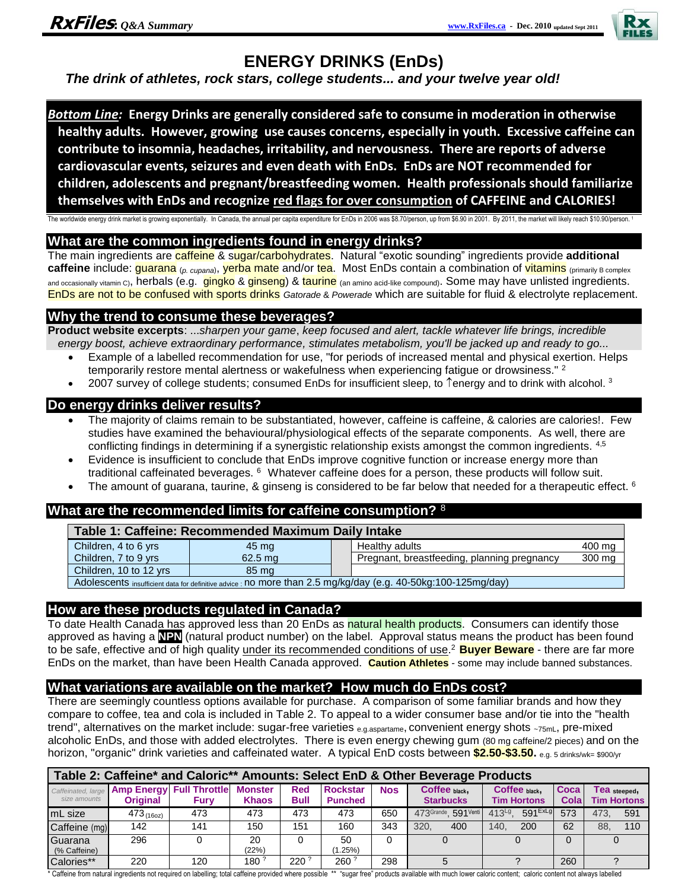

# **ENERGY DRINKS (EnDs)**

 *The drink of athletes, rock stars, college students... and your twelve year old!*

*Bottom Line:* **Energy Drinks are generally considered safe to consume in moderation in otherwise healthy adults. However, growing use causes concerns, especially in youth. Excessive caffeine can contribute to insomnia, headaches, irritability, and nervousness. There are reports of adverse cardiovascular events, seizures and even death with EnDs. EnDs are NOT recommended for children, adolescents and pregnant/breastfeeding women. Health professionals should familiarize themselves with EnDs and recognize red flags for over consumption of CAFFEINE and CALORIES!** 

The worldwide energy drink market is growing exponentially. In Canada, the annual per capita expenditure for EnDs in 2006 was \$8.70/person, up from \$6.90 in 2001. By 2011, the market will likely reach \$10.90/person.

# **What are the common ingredients found in energy drinks?**

The main ingredients are caffeine & sugar/carbohydrates. Natural "exotic sounding" ingredients provide **additional**  caffeine include: *guarana* (*p. cupana*), yerba mate and/or tea. Most EnDs contain a combination of vitamins (primarily B complex and occasionally vitamin C), herbals (e.g. gingko & ginseng) & taurine (an amino acid-like compound). Some may have unlisted ingredients. EnDs are not to be confused with sports drinks *Gatorade* & *Powerade* which are suitable for fluid & electrolyte replacement.

# **Why the trend to consume these beverages?**

**Product website excerpts**: ...*sharpen your game*, *keep focused and alert, tackle whatever life brings, incredible energy boost, achieve extraordinary performance, stimulates metabolism, you'll be jacked up and ready to go...*

- Example of a labelled recommendation for use, "for periods of increased mental and physical exertion. Helps
- temporarily restore mental alertness or wakefulness when experiencing fatigue or drowsiness."<sup>2</sup>
- 2007 survey of college students; consumed EnDs for insufficient sleep, to  $\hat{}$  energy and to drink with alcohol. 3

# **Do energy drinks deliver results?**

- The majority of claims remain to be substantiated, however, caffeine is caffeine, & calories are calories!. Few studies have examined the behavioural/physiological effects of the separate components. As well, there are conflicting findings in determining if a synergistic relationship exists amongst the common ingredients. 4,5
- Evidence is insufficient to conclude that EnDs improve cognitive function or increase energy more than traditional caffeinated beverages. <sup>6</sup> Whatever caffeine does for a person, these products will follow suit.
- The amount of guarana, taurine, & ginseng is considered to be far below that needed for a therapeutic effect.  $6$

# **What are the recommended limits for caffeine consumption?** <sup>8</sup>

| Table 1: Caffeine: Recommended Maximum Daily Intake                                                           |           |  |                                             |        |  |  |  |  |  |  |
|---------------------------------------------------------------------------------------------------------------|-----------|--|---------------------------------------------|--------|--|--|--|--|--|--|
| Children, 4 to 6 yrs                                                                                          | 45 mg     |  | Healthy adults                              | 400 mg |  |  |  |  |  |  |
| Children, 7 to 9 yrs                                                                                          | $62.5$ ma |  | Pregnant, breastfeeding, planning pregnancy | 300 mg |  |  |  |  |  |  |
| Children, 10 to 12 yrs                                                                                        | 85 mg     |  |                                             |        |  |  |  |  |  |  |
| Adolescents insufficient data for definitive advice : no more than 2.5 mg/kg/day (e.g. 40-50kg:100-125mg/day) |           |  |                                             |        |  |  |  |  |  |  |

**How are these products regulated in Canada?** 

To date Health Canada has approved less than 20 EnDs as natural health products. Consumers can identify those approved as having a **NPN** (natural product number) on the label. Approval status means the product has been found to be safe, effective and of high quality under its recommended conditions of use. <sup>2</sup>**Buyer Beware** - there are far more EnDs on the market, than have been Health Canada approved. **Caution Athletes** - some may include banned substances.

# **What variations are available on the market? How much do EnDs cost?**

There are seemingly countless options available for purchase. A comparison of some familiar brands and how they compare to coffee, tea and cola is included in Table 2. To appeal to a wider consumer base and/or tie into the "health trend", alternatives on the market include: sugar-free varieties e.g. aspartame, convenient energy shots ~75mL, pre-mixed alcoholic EnDs, and those with added electrolytes. There is even energy chewing gum (80 mg caffeine/2 pieces) and on the horizon, "organic" drink varieties and caffeinated water. A typical EnD costs between **\$2.50-\$3.50.** e.g. 5 drinks/wk= \$900/yr

| Table 2: Caffeine* and Caloric** Amounts: Select EnD & Other Beverage Products |                 |                                                            |                                |                           |                                   |            |                                   |                                       |              |                     |                    |  |  |  |
|--------------------------------------------------------------------------------|-----------------|------------------------------------------------------------|--------------------------------|---------------------------|-----------------------------------|------------|-----------------------------------|---------------------------------------|--------------|---------------------|--------------------|--|--|--|
| size amounts                                                                   | <b>Original</b> | Caffeinated, large Amp Energy Full Throttle<br><b>Furv</b> | <b>Monster</b><br><b>Khaos</b> | <b>Red</b><br><b>Bull</b> | <b>Rockstar</b><br><b>Punched</b> | <b>Nos</b> | Coffee black,<br><b>Starbucks</b> | Coffee black,<br><b>Tim Hortons</b>   | Coca<br>Cola | <b>Fea</b> steeped, | <b>Tim Hortons</b> |  |  |  |
| ImL size                                                                       | 473(160z)       | 473                                                        | 473                            | 473                       | 473                               | 650        | 473Grande, 591Venti               | $591$ <sup>ExLg</sup><br>$413^{Lg}$ . | 573          | 473                 | 591                |  |  |  |
| Caffeine (mg)                                                                  | 142             | 141                                                        | 150                            | 151                       | 160                               | 343        | 320.<br>400                       | 200<br>140.                           | 62           | 88.                 | 110                |  |  |  |
| Guarana<br>(% Caffeine)                                                        | 296             |                                                            | 20<br>(22%)                    |                           | 50<br>$1.25\%$                    |            |                                   |                                       |              |                     |                    |  |  |  |
| Calories**                                                                     | 220             | 120                                                        | 180 <sup>?</sup>               | $220^{\degree}$           | $260^{\degree}$                   | 298        |                                   |                                       | 260          |                     |                    |  |  |  |

\* Caffeine from natural ingredients not required on labelling; total caffeine provided where possible \*\* "sugar free" products available with much lower caloric content; caloric content not always labelled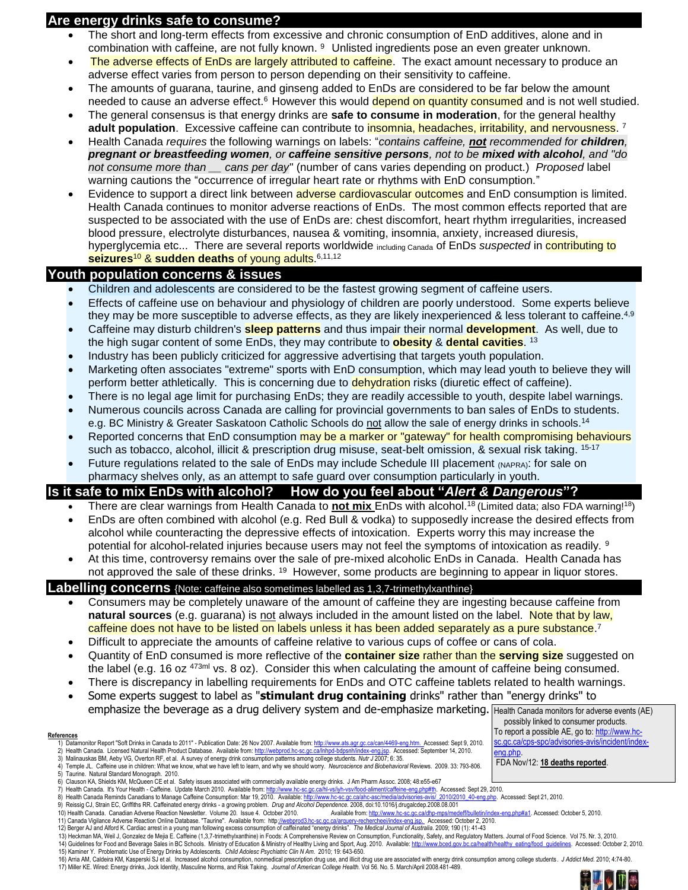# **Are energy drinks safe to consume?**

- The short and long-term effects from excessive and chronic consumption of EnD additives, alone and in combination with caffeine, are not fully known. <sup>9</sup> Unlisted ingredients pose an even greater unknown.
- The adverse effects of EnDs are largely attributed to caffeine. The exact amount necessary to produce an adverse effect varies from person to person depending on their sensitivity to caffeine.
- The amounts of guarana, taurine, and ginseng added to EnDs are considered to be far below the amount needed to cause an adverse effect.<sup>6</sup> However this would depend on quantity consumed and is not well studied.
- The general consensus is that energy drinks are **safe to consume in moderation**, for the general healthy adult population. Excessive caffeine can contribute to insomnia, headaches, irritability, and nervousness. <sup>7</sup>
- Health Canada *requires* the following warnings on labels: "*contains caffeine, not recommended for children, pregnant or breastfeeding women, or caffeine sensitive persons, not to be mixed with alcohol, and "do not consume more than \_\_ cans per day*" (number of cans varies depending on product.) *Proposed* label warning cautions the "occurrence of irregular heart rate or rhythms with EnD consumption."
- Evidence to support a direct link between **adverse cardiovascular outcomes** and EnD consumption is limited. Health Canada continues to monitor adverse reactions of EnDs. The most common effects reported that are suspected to be associated with the use of EnDs are: chest discomfort, heart rhythm irregularities, increased blood pressure, electrolyte disturbances, nausea & vomiting, insomnia, anxiety, increased diuresis, hyperglycemia etc... There are several reports worldwide including Canada of EnDs *suspected* in **contributing to seizures**<sup>10</sup> & **sudden deaths** of young adults. 6,11,12

### **Youth population concerns & issues**

- Children and adolescents are considered to be the fastest growing segment of caffeine users.
- Effects of caffeine use on behaviour and physiology of children are poorly understood. Some experts believe they may be more susceptible to adverse effects, as they are likely inexperienced & less tolerant to caffeine.<sup>4,9</sup>
- Caffeine may disturb children's **sleep patterns** and thus impair their normal **development**. As well, due to the high sugar content of some EnDs, they may contribute to **obesity** & **dental cavities**. 13
- Industry has been publicly criticized for aggressive advertising that targets youth population.
- Marketing often associates "extreme" sports with EnD consumption, which may lead youth to believe they will perform better athletically. This is concerning due to dehydration risks (diuretic effect of caffeine).
- There is no legal age limit for purchasing EnDs; they are readily accessible to youth, despite label warnings.
- Numerous councils across Canada are calling for provincial governments to ban sales of EnDs to students. e.g. BC Ministry & Greater Saskatoon Catholic Schools do not allow the sale of energy drinks in schools.<sup>14</sup>
- Reported concerns that EnD consumption may be a marker or "gateway" for health compromising behaviours such as tobacco, alcohol, illicit & prescription drug misuse, seat-belt omission, & sexual risk taking. 15-17
- Future regulations related to the sale of EnDs may include Schedule III placement (NAPRA): for sale on pharmacy shelves only, as an attempt to safe guard over consumption particularly in youth.

# **Is it safe to mix EnDs with alcohol? How do you feel about "***Alert & Dangerous***"?**

- There are clear warnings from Health Canada to **not mix** EnDs with alcohol.<sup>18</sup> (Limited data; also FDA warning!<sup>18</sup>)
- EnDs are often combined with alcohol (e.g. Red Bull & vodka) to supposedly increase the desired effects from alcohol while counteracting the depressive effects of intoxication. Experts worry this may increase the potential for alcohol-related injuries because users may not feel the symptoms of intoxication as readily. <sup>9</sup>
- At this time, controversy remains over the sale of pre-mixed alcoholic EnDs in Canada. Health Canada has not approved the sale of these drinks. <sup>19</sup> However, some products are beginning to appear in liquor stores.

### **Labelling concerns** {Note: caffeine also sometimes labelled as 1,3,7-trimethylxanthine}

- Consumers may be completely unaware of the amount of caffeine they are ingesting because caffeine from **natural sources** (e.g. guarana) is not always included in the amount listed on the label. Note that by law, caffeine does not have to be listed on labels unless it has been added separately as a pure substance. 7
- Difficult to appreciate the amounts of caffeine relative to various cups of coffee or cans of cola.
- Quantity of EnD consumed is more reflective of the **container size** rather than the **serving size** suggested on the label (e.g. 16 oz  $473$ <sup>ml</sup> vs. 8 oz). Consider this when calculating the amount of caffeine being consumed.
- There is discrepancy in labelling requirements for EnDs and OTC caffeine tablets related to health warnings.
- Some experts suggest to label as "**stimulant drug containing** drinks" rather than "energy drinks" to emphasize the beverage as a drug delivery system and de-emphasize marketing. Health Canada monitors for adverse events (AE)

#### **References**

1) Datamonitor Report "Soft Drinks in Canada to 2011" - Publication Date: 26 Nov 2007. Available from: [http://www.ats.agr.gc.ca/can/4469-eng.htm.](http://www.ats.agr.gc.ca/can/4469-eng.htm) Accessed: Sept 9, 2010.

2) Health Canada. Licensed Natural Health Product Database. Available from: http://webprod.hc-sc.gc.ca/lnhpd-bdpsnh/index-eng.jsp. Accessed: September 14, 2010.

3) Malinauskas BM, Aeby VG, Overton RF, et al. A survey of energy drink consumption patterns among college students. *Nutr J* 2007; 6: 35. 4) Temple JL. Caffeine use in children: What we know, what we have left to learn, and why we should worry. *Neuroscience and Biobehavioral* Reviews. 2009. 33: 793-806.

- 5) Taurine. Natural Standard Monograph. 2010.
- 6) Clauson KA, Shields KM, McQueen CE et al. Safety issues associated with commercially available energy drinks. J Am Pharm Assoc. 2008; 48:e55-e67<br>6. Health Canada. It's Your Health Caffeine. Update March 2010. Availabl
- 7) Health Canada. It's Your Health Caffeine. Update March 2010. Available from: http://www.hc-sc.gc.ca/hl-vs/iyh-vsv/food-aliment/caffeine-eng.php#th. Accessed: Sept 29, 2010.<br>8) Health Canada Reminds Canadians to Manage

- 9) Reissig CJ, Strain EC, Griffiths RR. Caffeinated energy drinks a growing problem. *Drug and Alcohol Dependence.* 2008, doi:10.1016/j.drugalcdep.2008.08.001<br>10) Health Canada. Canadian Adverse Reaction Newsletter. Vo
- 11) Canada Vigilance Adverse Reaction Online Database. "Taurine". Available from: http<u>://webprod3.hc-sc.qc.ca/arquery-rechercheei/index-enq.jsp.</u>\_Accessed: October 2, 2010.<br>12) Berger AJ and Alford K. Cardiac arrest in a
- 

- 15) Kaminer Y. Problematic Use of Energy Drinks by Adolescents. *Child Adolesc Psychiatric Clin N Am*. 2010; 19: 643-650.
- 16) Arria AM, Caldeira KM, Kasperski SJ et al. Increased alcohol consumption, nonmedical prescription drug use, and illicit drug use are associated with energy drink consumption among college students. JAddict Med. 2010; 4



<sup>8)</sup> Health Canada Reminds Canadians to Manage Caffeine Consumption: Mar 19, 2010. Available: http://www.hc-sc.gc.ca/ahd-

<sup>13)</sup> Heckman MA, Weil J, Gonzalez de Mejia E. Caffeine (1,3,7-trimethylxanthine) in Foods: A Comprehensive Review on Consumption, Functionality, Safety, and Regulatory Matters. Journal of Food Science. Vol 75. Nr. 3, 2010.<br> 14) Guidelines for Food and Beverage Sales in BC Schools. Ministry of Education & Ministry of Healthy Living and Sport, Aug. 2010. Available: http://www.bced.gov.bc.ca/health/healthy eating/food quide